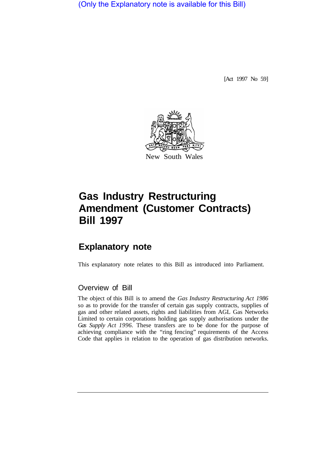(Only the Explanatory note is available for this Bill)

[Act 1997 No 59]



# **Gas Industry Restructuring Amendment (Customer Contracts) Bill 1997**

## **Explanatory note**

This explanatory note relates to this Bill as introduced into Parliament.

## Overview of Bill

The object of this Bill is to amend the *Gas Industry Restructuring Act 1986*  so as to provide for the transfer of certain gas supply contracts, supplies of gas and other related assets, rights and liabilities from AGL Gas Networks Limited to certain corporations holding gas supply authorisations under the *Gas Supply Act 1996.* These transfers are to be done for the purpose of achieving compliance with the "ring fencing" requirements of the Access Code that applies in relation to the operation of gas distribution networks.